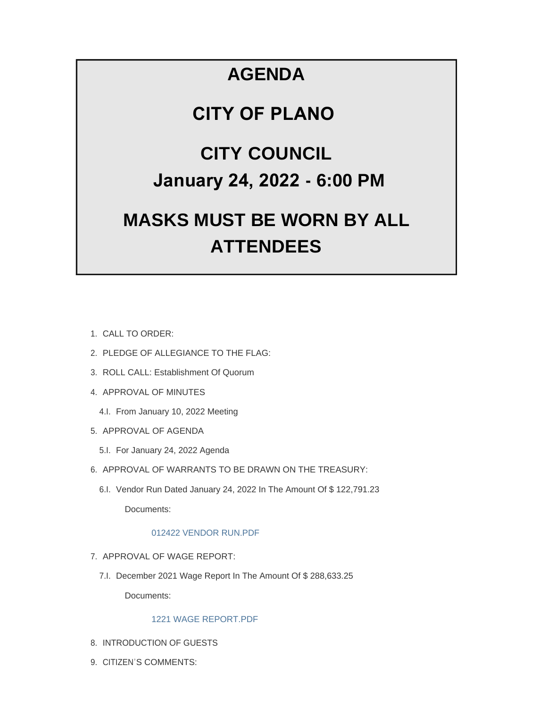# **AGENDA**

# **CITY OF PLANO**

# **CITY COUNCIL January 24, 2022 - 6:00 PM**

# **MASKS MUST BE WORN BY ALL ATTENDEES**

- CALL TO ORDER: 1.
- 2. PLEDGE OF ALLEGIANCE TO THE FLAG:
- 3. ROLL CALL: Establishment Of Quorum
- 4. APPROVAL OF MINUTES
	- 4.I. From January 10, 2022 Meeting
- 5. APPROVAL OF AGENDA
	- 5.I. For January 24, 2022 Agenda
- 6. APPROVAL OF WARRANTS TO BE DRAWN ON THE TREASURY:
	- 6.I. Vendor Run Dated January 24, 2022 In The Amount Of \$122,791.23 Documents:

# [012422 VENDOR RUN.PDF](https://www.cityofplanoil.com/AgendaCenter/ViewFile/Item/8633?fileID=2436)

- 7. APPROVAL OF WAGE REPORT:
	- 7.I. December 2021 Wage Report In The Amount Of \$ 288,633.25

Documents:

# [1221 WAGE REPORT.PDF](https://www.cityofplanoil.com/AgendaCenter/ViewFile/Item/8634?fileID=2437)

- 8. INTRODUCTION OF GUESTS
- 9. CITIZEN'S COMMENTS: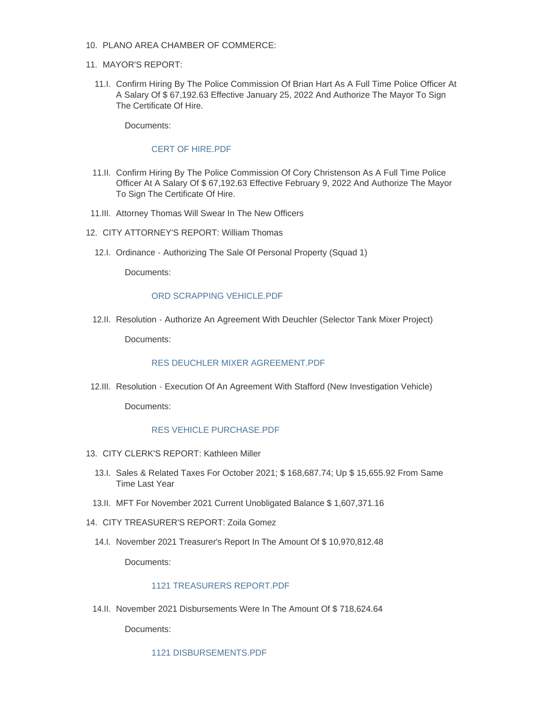- PLANO AREA CHAMBER OF COMMERCE: 10.
- 11. MAYOR'S REPORT:
	- 11.I. Confirm Hiring By The Police Commission Of Brian Hart As A Full Time Police Officer At A Salary Of \$ 67,192.63 Effective January 25, 2022 And Authorize The Mayor To Sign The Certificate Of Hire.

Documents:

#### [CERT OF HIRE.PDF](https://www.cityofplanoil.com/AgendaCenter/ViewFile/Item/8635?fileID=2438)

- 11.II. Confirm Hiring By The Police Commission Of Cory Christenson As A Full Time Police Officer At A Salary Of \$ 67,192.63 Effective February 9, 2022 And Authorize The Mayor To Sign The Certificate Of Hire.
- 11.III. Attorney Thomas Will Swear In The New Officers
- 12. CITY ATTORNEY'S REPORT: William Thomas
	- 12.I. Ordinance Authorizing The Sale Of Personal Property (Squad 1)

Documents:

## [ORD SCRAPPING VEHICLE.PDF](https://www.cityofplanoil.com/AgendaCenter/ViewFile/Item/8638?fileID=2439)

12.II. Resolution - Authorize An Agreement With Deuchler (Selector Tank Mixer Project)

Documents:

## [RES DEUCHLER MIXER AGREEMENT.PDF](https://www.cityofplanoil.com/AgendaCenter/ViewFile/Item/8639?fileID=2445)

12.III. Resolution - Execution Of An Agreement With Stafford (New Investigation Vehicle)

Documents:

## [RES VEHICLE PURCHASE.PDF](https://www.cityofplanoil.com/AgendaCenter/ViewFile/Item/8640?fileID=2440)

- CITY CLERK'S REPORT: Kathleen Miller 13.
	- 13.I. Sales & Related Taxes For October 2021; \$ 168,687.74; Up \$ 15,655.92 From Same Time Last Year
	- MFT For November 2021 Current Unobligated Balance \$ 1,607,371.16 13.II.
- CITY TREASURER'S REPORT: Zoila Gomez 14.
	- 14.I. November 2021 Treasurer's Report In The Amount Of \$10,970,812.48

Documents:

## [1121 TREASURERS REPORT.PDF](https://www.cityofplanoil.com/AgendaCenter/ViewFile/Item/8643?fileID=2441)

14.II. November 2021 Disbursements Were In The Amount Of \$718,624.64

Documents:

[1121 DISBURSEMENTS.PDF](https://www.cityofplanoil.com/AgendaCenter/ViewFile/Item/8644?fileID=2442)